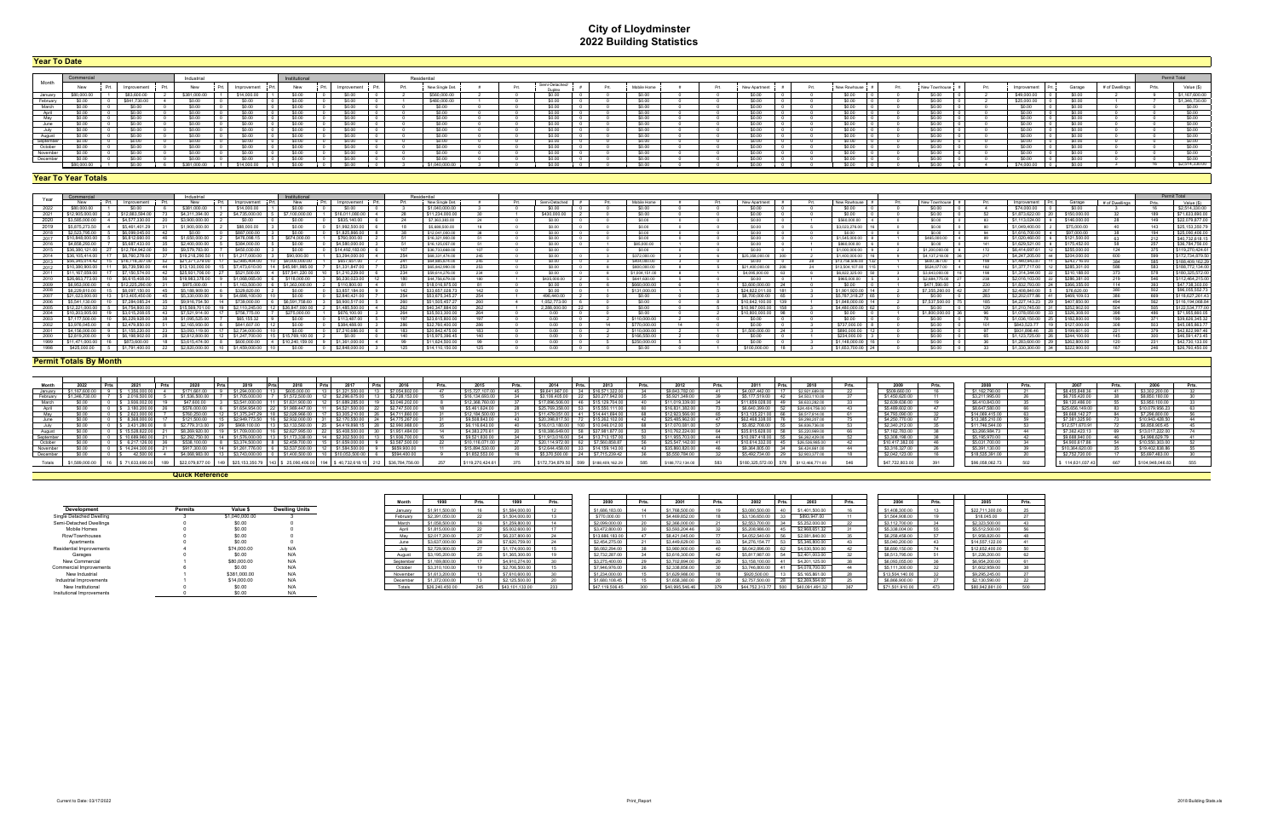# **City of Lloydminster 2022 Building Statistics**

| <b>Tear To Date</b> |             |  |              |  |              |  |             |  |            |  |             |  |  |                 |      |                          |  |             |  |              |  |              |          |  |             |              |                |       |                  |
|---------------------|-------------|--|--------------|--|--------------|--|-------------|--|------------|--|-------------|--|--|-----------------|------|--------------------------|--|-------------|--|--------------|--|--------------|----------|--|-------------|--------------|----------------|-------|------------------|
|                     |             |  |              |  |              |  |             |  |            |  |             |  |  |                 |      |                          |  |             |  |              |  |              |          |  |             |              |                |       |                  |
|                     |             |  |              |  | Industria    |  |             |  |            |  |             |  |  | Residentia      |      |                          |  |             |  |              |  |              |          |  |             |              |                |       | Permit Total     |
| Month               | New         |  | Improvement  |  | New          |  | Improvement |  | New        |  | Improvement |  |  | New Single Det. | Prt. | Semi-Detached/<br>Dunlex |  | Mobile Home |  | New Apartmen |  | New Rowhouse |          |  | Improvement | Garage       | # of Dwellings | Prts. | Value (\$)       |
| January             |             |  | \$83,600.00  |  | \$381,000.00 |  | \$14,000.00 |  |            |  |             |  |  | \$560,000.00    |      |                          |  |             |  |              |  |              | S0.00    |  | \$49,000.00 |              |                |       | \$1,167,600.00   |
| February            |             |  | \$841 730 00 |  |              |  | - SO OO     |  |            |  |             |  |  | \$480,000.00    |      |                          |  |             |  |              |  |              | - SO 00- |  | \$25,000.00 |              |                |       | \$1,346,730.00   |
| March               |             |  |              |  |              |  | \$0.00      |  |            |  | - SO OC     |  |  | <b>SO 00</b>    |      |                          |  |             |  |              |  |              | SO 00    |  |             |              |                |       | \$0.00           |
| April               |             |  |              |  |              |  | \$0.00      |  |            |  | \$0.00      |  |  |                 |      |                          |  | \$0.00      |  | \$0.00       |  |              | SO 00    |  |             |              |                |       | \$0.00           |
|                     |             |  |              |  |              |  | sn nn       |  |            |  |             |  |  |                 |      |                          |  | sn nn       |  | sn nn        |  |              | sn nn    |  |             |              |                |       | SO OD            |
| June                |             |  |              |  |              |  | \$0.00      |  | - SO 00    |  | \$0.00      |  |  | s∩∩r            |      |                          |  | \$0.00      |  | \$0.00       |  |              | SO 00    |  |             | <b>SO 00</b> |                |       | SO(00)           |
| July                |             |  |              |  |              |  | \$0.00      |  |            |  | \$0.00      |  |  |                 |      |                          |  | \$0.00      |  |              |  |              | SO 00    |  |             |              |                |       | \$0.00           |
| August              |             |  |              |  |              |  | \$0.00      |  | - 25 U U U |  | - SO OC     |  |  |                 |      |                          |  | \$0.00      |  |              |  |              | SO 00    |  |             |              |                |       | \$0.00           |
| September           |             |  | 20100        |  |              |  | - SO OO     |  |            |  |             |  |  |                 |      |                          |  |             |  |              |  |              | - SO 00- |  |             |              |                |       | 50.00            |
| October             |             |  |              |  |              |  | \$0.00      |  | - SO 00    |  | \$0.00      |  |  | - SO 00         |      |                          |  | \$0.00      |  | SO 00        |  |              | SO 00    |  |             | \$0.00       |                |       | SO(00)           |
| Novembe             |             |  |              |  |              |  | \$0.00      |  |            |  | \$0.00      |  |  |                 |      |                          |  | \$0.00      |  | \$0.00       |  |              | SO 00    |  |             | -SO 00-      |                |       | $\frac{1}{2000}$ |
| Decembe             |             |  |              |  |              |  |             |  |            |  |             |  |  |                 |      |                          |  |             |  |              |  |              | sn nn    |  |             |              |                |       | \$0.00           |
|                     | \$80,000.00 |  |              |  | \$381,000,00 |  | \$14,000.00 |  | \$0.00     |  | SO OO       |  |  | \$1,040,000.00  |      |                          |  |             |  |              |  |              | SO OO    |  | \$74,000.00 |              |                |       | \$2,514,330.00   |

|               | Commercia      |                       | Industrial      |                | Institutiona                  |                      | Residential     |       |               |  |                |  |                        |  |                 |                |                   |                    |                    |                |      | Permit Total     |
|---------------|----------------|-----------------------|-----------------|----------------|-------------------------------|----------------------|-----------------|-------|---------------|--|----------------|--|------------------------|--|-----------------|----------------|-------------------|--------------------|--------------------|----------------|------|------------------|
| Year          | New            | Prt. Improvement      | New             | Improvement    | New                           | Improvement          | New Single Det. |       | Semi-Detached |  | Mobile Home    |  | New Apartment          |  | New Rowhouse    | New Townhouse  | Improvement       |                    | Garage             | # of Dwellings | Prts | Value (\$)       |
|               |                |                       |                 |                |                               |                      | \$1,040,000.00  |       |               |  | en nn          |  |                        |  |                 | sn nn          | \$74,000.00       |                    |                    |                |      | \$2,514,330.00   |
| 2021          | \$12 905 000.  | \$12 883 594 1        | \$4 311 394 00  | \$4 735 000 00 | \$7 100 000 00                | \$16,011,080.0       | \$11,234,000.00 |       | \$430,000.00  |  | sn nn          |  | sn nn                  |  | sn nn           | SO 00          |                   | \$1.873.622.00 20  | \$150,000.00       |                | 180  | \$71,633,690,00  |
| 2020          | \$3,585,000.0  | \$4,577,330.0         | \$3,900,000.0   |                | \$0.00                        | \$835 140.00         | \$7,363,383,00  |       | \$0.00        |  | \$0.00         |  | so oo                  |  | \$560,000.00    | \$0.00         | \$1,113,024,00    |                    | \$146,000.00       |                | 149  | \$22,079,877.00  |
|               | \$5,875        | \$5461401             | \$1,900,000     | \$88,000.00    |                               | \$1,992,500.1        | \$5,688,500,00  |       | en nn         |  | sn nn          |  | SO OO                  |  | \$3,023,276,00  | \$0.00         | \$1,049,400.0     |                    | \$75,000.00        |                | 113  | \$25.153.350.79  |
| 2018          | \$2.523.795.   | \$6.099.045.0         |                 | \$887,000.00   |                               | \$1,825,866.0        | \$12.041.000.00 |       | \$0.00        |  | \$0.00         |  | \$0.00                 |  | \$0.00          | \$0.00         | \$1,616,700,00 4  |                    | \$97,000.00        |                | 10 A | \$25,090,406.00  |
| 2017 <b>I</b> |                |                       |                 |                |                               | .5760.000.00         | \$16,321,900.00 |       | SO 00         |  | SO 00          |  | \$0.00                 |  | \$1,545,000,00  | \$465,000.00   | \$1.020.460.00 6  |                    | \$121.500.00       |                |      | \$40,732,618.15  |
| 2016          |                |                       |                 | \$384,000      |                               | \$4,580,000.         | \$16,125,057.00 |       | \$0.00        |  | \$85,000.00    |  |                        |  | \$860,000.00    | \$0.00         | \$1.629.521.00    |                    | \$175,452.00       |                |      | \$36,784,756.00  |
| 2015          |                |                       |                 |                |                               | \$14.492.183.0       | \$36 733 668 00 | 107   | \$0.00        |  | \$0.00         |  | \$0.00                 |  | \$1,000,000.00  | \$1,200,000.00 | \$6,414,697.61    |                    | \$255,000.00       |                |      | \$119,270,424.61 |
| 2014          |                |                       |                 |                |                               |                      | S68 331 474 0   | 245   |               |  | \$372,000.0    |  | \$25,358,000.0         |  | \$1,400,000     | \$4 137 218 00 | \$4,247,205       |                    | S204,000.00        |                |      | \$172.734.879.5  |
| 2013          | \$56,345,014.4 |                       |                 | \$2,985,404,00 | \$9,000,000,00                | \$657,651,00         | \$64 885 874 00 | 245   | sn nn         |  | \$404,000.00   |  | sn nn                  |  | \$13,756,506.00 | \$600.367.00   |                   | $$1,440.943.87$ 11 | \$243 716 00       |                |      | \$188.409.162.2  |
| 2012          |                | \$6,739,590.0         | \$13,130,000.0  | \$7,473,610.00 | \$45.981.995.00               | \$1,331,8470         | \$65,842,990.00 | 253   | sn nn         |  | \$800,000,00   |  | \$21,400,000.00        |  | \$13,504,107.00 | \$524,077.00   | \$1,377,717,00    |                    | \$285,301.00       |                | 583  | \$188,772,134.00 |
| 2011          |                | \$7 150 574 00        |                 | \$521,500.00   | \$57 541 220 00               | \$1 210 229 00       | \$59,614,276.00 | 234   | sn nn         |  | \$1,004.151.00 |  | \$4,095,000.00         |  | \$6,822,325,00  | \$3,643,000.00 | \$1,314,344.00    |                    | \$310,188,00       |                |      | \$180.325.572.0  |
| 2010          | 526 663 773 00 | \$6,615,408,00<br>56. | \$19,983,378.00 |                | \$1.068.065.00 6 \$118.000.00 | \$6,230,023,00       | \$44 756 679 00 |       | \$435,000,00  |  | \$641,630,00   |  | \$0.00                 |  | \$965,000.00    | \$2.684.775.00 | \$2,016,103,00 22 |                    | \$286,381,00       | 219.           |      | \$112,464,215.00 |
| 2009          |                |                       |                 | \$1,163,500.00 | 1.363.000.00                  | \$110,800.0          | \$18,016,975.0  |       |               |  | \$660,000.00   |  | \$3,600,000,00         |  | SO OO           | \$471,590.00   | \$1,832,793.0     |                    | \$366,355,00       |                |      | \$47,738,303.00  |
| 2008          |                |                       | : 400 000       |                |                               | \$3,857,1840         | \$33,657,028.73 | 142   | <b>COM</b>    |  | \$131,000.00   |  | \$24 822 011 00        |  | \$1,901,920.00  | \$7,355,260.00 | \$2,408,840.0     |                    | \$76,620.00        |                |      | \$96,055,552,73  |
|               |                |                       |                 |                |                               | <b>¢2.840.421.00</b> | \$53 675 345 2  |       | 496 440 00    |  | - ¢∩ ∩∩        |  | \$8,700,000.00         |  | \$5 787 318 27  |                |                   |                    | <b>CAGO 100 03</b> |                |      | \$118,627,261.43 |
| - 2006        |                |                       | \$9,916,754.50  | \$739,000.00   | \$6,591,758.60                | \$8,900,517          | \$51,505,457.2  |       | 1.052.773.00  |  | \$0.00         |  | \$10,642,100.00 139    |  | \$1 848 000 00  | \$7,537,500.00 | \$4 227 143 23    |                    | \$407,850.00       | 494            | 562  | \$116,194,068.84 |
| 2005          |                | \$4 754 800 0         |                 | \$2.110.245.00 | \$26,847,000.00               | \$1485,500,0         | \$40,347,884.0  |       | 2 288 000 00  |  |                |  | \$10,967,000.00<br>158 |  | \$4,480,000.00  | sn nn          | \$1,210,745.00    |                    | \$252,902.00       |                | 505  | \$122,534,777.0  |
| 2004          |                |                       | \$7,521,914.00  | \$756.775.00   | \$275,000,00                  | \$676 100 00         | \$35,503,300.00 | 264   |               |  | \$0.00         |  | \$10,800,000.00        |  | sn nn           | \$1,800,000,00 | \$1 078 050 00    |                    | \$326,308.00       |                | 486  | \$71,955,660.05  |
|               |                |                       |                 |                |                               | \$113,4870           | \$23 615 800 0  |       |               |  | \$110,000.00   |  | sn nn                  |  | sn nn           | ©∩ ∩∩          | \$1,036,150.00    |                    | \$182 800 00       |                |      | \$39,626,345.32  |
| 2002          |                |                       |                 |                |                               |                      | \$32,760,400.0  |       |               |  | \$770,000.00   |  | SO 00.                 |  | \$737,000.0     | \$0.00         | \$843,523.7       |                    | \$127,000.00       |                |      | \$45,085,863.7   |
| 2001          |                |                       |                 |                |                               | \$7 210 686 (        | \$20,842,475.0  | - 183 |               |  | \$110,000.00   |  | \$1,500,000.00         |  | \$890,000.0     | SO 00          | \$931 896 46      |                    | \$199,601.00       |                |      | \$42,822,997.46  |
| 2000          |                |                       |                 |                |                               |                      | \$15,975,396.45 | 140   |               |  | \$166,550.00   |  | SO 00.                 |  | \$234,000.0     | sn nn          | \$1,123,725.00    |                    | \$244,100.00       |                |      | \$46,591,473.45  |
|               |                |                       |                 | . SGOO OOO OO  | \$10,240,159.00               | \$1,361,000.0        | \$11 624 500 0  |       |               |  | \$250,000.00   |  |                        |  | \$1,148,000.0   |                | \$1 283 600 00    |                    | \$262.800.00       |                |      | \$42,730,133.00  |
| 1998 I        | \$425,000.00   |                       |                 | \$1,459,000.0  |                               |                      | \$14 110 150 0  |       |               |  |                |  | \$100,000,00           |  | \$1,653,700.00  |                | \$1.330.300.00    |                    | - \$222.900.00     |                |      | \$26,760,450.00  |

| Month    |                                                                                                                                                                                                                                                                                 |  |              |  |                        |  |                |  |                |  |                   |      |                          | Prts. |                 | Prts |                                    | l Prte   |                |                |                       |                |                 |    |                 |                 |                 |  |
|----------|---------------------------------------------------------------------------------------------------------------------------------------------------------------------------------------------------------------------------------------------------------------------------------|--|--------------|--|------------------------|--|----------------|--|----------------|--|-------------------|------|--------------------------|-------|-----------------|------|------------------------------------|----------|----------------|----------------|-----------------------|----------------|-----------------|----|-----------------|-----------------|-----------------|--|
| Januarv  |                                                                                                                                                                                                                                                                                 |  | 1.356.000    |  | \$171.661.0            |  | \$1,294,000.0  |  | \$605,000      |  | \$1,321,500.0     |      | \$7,054,802.             |       | \$15 727 107 00 |      | \$9 641 967 00                     |          | \$16,571,32    | \$9 843 782 0  | \$4,007,442,00        | \$2,921,689.00 | \$509,660,00    |    | \$1 162 790 00  | \$8,455,848.36  | \$3,302,200.00  |  |
| February |                                                                                                                                                                                                                                                                                 |  | 2 016 500    |  | \$1,536,500            |  | \$1,705,000.00 |  | 572 500 00     |  | \$2 296 675 0     |      | \$2 728 153 00           |       | \$16 134 693 0  |      | \$3 106 405 00                     |          | \$20,277,942.0 | \$5,921,349.0  | \$5 177 519 00<br>-42 | \$4 503 110 00 | \$1450620.00    | 11 | \$3 211 995 00  | \$6,705,420,00  | \$8,850,180,00  |  |
|          |                                                                                                                                                                                                                                                                                 |  | 39361        |  |                        |  | 3 541 000      |  |                |  | - 51 689 2        |      | S3 046 2                 |       | 12.368.7        |      | \$17,896,506.0                     |          |                | \$11 019 33    | \$11 659 028<br>-49   | \$8,633,282.00 | \$2 639 636 00  |    | $$6,410,843$ no | \$9,120,486.00  | \$3,950,100     |  |
|          |                                                                                                                                                                                                                                                                                 |  |              |  |                        |  |                |  |                |  | \$4,521,500.00    |      | 747.500.                 |       | \$5.461.624.00  |      | \$25,769,358.0                     |          |                | \$16,831,382.  | \$6,640,399.          | \$24,404,756.0 | \$5,489,602.00  |    | \$8,647,580.0   | \$25,656,149.0  | \$10.079.956.23 |  |
|          |                                                                                                                                                                                                                                                                                 |  |              |  | \$760.250.0            |  |                |  |                |  | \$3,305,210.00    |      |                          |       | \$12,184,500    |      | \$11,479,051.0                     |          | \$14,441,694   |                | \$13,135,221          | \$8,517,814.00 | \$4,793,090.00  |    | \$14,069,415.0  | \$9,668,142.27  | \$7,296,800.00  |  |
|          |                                                                                                                                                                                                                                                                                 |  |              |  |                        |  |                |  |                |  |                   |      | 775.267.                 |       | \$9,508,843.    |      |                                    |          | \$15,262.1     | \$25,485,962.0 | \$62,468,338          | \$9,298,207.00 | \$4,250,770.00  |    | \$13,385,210.0  | \$7,381,325.90  | \$10.943.428.50 |  |
|          |                                                                                                                                                                                                                                                                                 |  | 3431280      |  | \$2,779,313            |  | \$969,100.00   |  | \$3 133 560 00 |  | \$4 419 898 15    | 28 L | $$2.990.98$ <sup>2</sup> |       | \$6,116,643.00  |      | \$16.013.180.00 100 \$10.046.012.0 |          |                | \$17,070,081.0 | \$5,852,708.00        | \$6,836,736,00 | \$2,340,212.00  |    | \$11,746,544.00 | \$12,571,670.91 | \$6,858,905.45  |  |
| August   | \$3,266,984.7<br>\$1,709,000.0<br>\$18,386,649.00<br>\$37,981,877<br>15 528 822<br>\$1,951,484.00<br>\$10,762,224,00<br>\$5,220,969.00<br>\$7.362,423.13<br>\$13 017 222 00<br>\$35 815 628 0<br>\$8,269,920<br>627 995 00<br>\$5 408 500 0<br>\$4,383,270.61<br>\$7,162,783,00 |  |              |  |                        |  |                |  |                |  |                   |      |                          |       |                 |      |                                    |          |                |                |                       |                |                 |    |                 |                 |                 |  |
| Septembe |                                                                                                                                                                                                                                                                                 |  | \$10.689.960 |  |                        |  | \$1,576,000.0  |  | 173.338.00     |  | \$2,302,500.00    |      | \$1,936,700              |       | \$9,521,830.00  |      | \$11,913,016.0                     |          | \$13,713,157.0 | \$11,955,703.0 | \$10,097,418,00       | \$6,262,429.00 | \$3,308,198,00  |    | \$5,195,970.00  | \$9,688,940,00  | \$4 998 629 79  |  |
| October  |                                                                                                                                                                                                                                                                                 |  |              |  |                        |  | \$3,374,500.0  |  | \$2,459,700.00 |  | \$1,659,000.00    |      | \$3,587,500              |       | \$10 116 071    |      | \$20 114 972 0                     |          | \$7,560,858.8  | \$25,547,142.0 | \$10,614,332          | \$26,536,985.0 | \$10 417 382 00 |    | \$5,031,700.00  | \$4,900,617     | \$10,550,303    |  |
| Novemb   |                                                                                                                                                                                                                                                                                 |  |              |  |                        |  |                |  |                |  |                   |      | \$659,900.0              |       | 15.894.530      |      | \$12 644 458 0                     |          | \$14 159 143   |                | 59 . 364 a            | \$6,424,861.   | \$3.316.327.00  |    | \$5.391.130.00  | \$10,364,620.   | \$19,402,838    |  |
| Decembe  |                                                                                                                                                                                                                                                                                 |  |              |  | S4.068.983.            |  | \$3,743,000.00 |  | \$1,400,500.00 |  | 10 510 053 500 00 |      | \$594 400.00             |       | \$1,852,553     |      |                                    | $1 \t24$ | \$7 715 239 42 | \$5,550,784.0  | \$5 492 734 00        | \$2 903 377 00 | \$2,042,123,00  |    | \$18,535,391.0  | \$2,752,720.00  | \$5,697,483.00  |  |
|          | <b>CAT 700 0</b><br>cas ago act<br>\$114631<br><b>633 070 877 00 145</b><br>\$25 153 350 79 143 \$ 25 090 406 00<br>10 0 71 022 000 L<br>212 626 704 74<br>\$180,325.57<br><b>3AD 8AD ADD</b><br>\$199,400.16<br>S112 466 771 to<br>2440.7<br>10 578<br>0.10722640              |  |              |  |                        |  |                |  |                |  |                   |      |                          |       |                 |      |                                    |          |                |                |                       |                |                 |    |                 |                 |                 |  |
|          |                                                                                                                                                                                                                                                                                 |  |              |  | <b>Quick Reference</b> |  |                |  |                |  |                   |      |                          |       |                 |      |                                    |          |                |                |                       |                |                 |    |                 |                 |                 |  |

|           |         |                                   |                       | Monti     |                 | Dete. |                 | Prts.           | 2000            | Prts. | 2001            | Prts. | 2002            | Prts. | 2003            | Prts. |
|-----------|---------|-----------------------------------|-----------------------|-----------|-----------------|-------|-----------------|-----------------|-----------------|-------|-----------------|-------|-----------------|-------|-----------------|-------|
|           | Permits | Value :                           | <b>Dwelling Units</b> | January   | \$1,911,500.00  |       | \$1,584,000.00  |                 | \$1,686,183,00  |       | \$1,768,500.00  |       | \$3,080,500.0   |       | \$1,401,500.00  |       |
| . Dwellin |         | \$1,040,000.00                    |                       | February  | \$2,391,050.00  |       | \$1,504,000.00  |                 | \$770,000.00    |       | \$4,469,852.00  |       | \$3,136,650.0   |       | \$893,947.00    |       |
| Dwelling: |         | \$0.00                            |                       | March     | \$1.058,500.00  |       | \$1,259,800.00  |                 | \$2,099,000.00  |       | \$2,366,000.00  |       | \$2,553,700.00  |       | \$5,252,000.00  |       |
|           |         | \$0.00                            |                       | Anril     | \$1,815,000.00  |       | \$5,002,600.00  |                 | \$3,472,800.00  |       | \$3,593,204.46  |       | \$5,208,986.    |       | \$2,968,651.32  |       |
|           |         | \$0.00                            |                       | Mav       | \$2,017,200.00  |       | \$6,237,800.00  |                 | \$13,686,183.00 |       | \$8,421,045.00  |       | \$4,052,540.    |       | \$2,081,840.00  |       |
|           |         | \$0.00                            |                       | June      | \$3,637,000.00  |       | \$7,620,759.00  |                 | \$2,454,275.00  |       | \$3,449,629.0   |       | \$4,276,154,77  |       | \$5,346,800.00  |       |
| ovements  |         | \$74,000.00                       | N/A                   | July      | \$2,729,900.00  |       | \$1,174,000.00  |                 | \$6.082.294.00  |       | \$3,980,900.00  |       | \$6,042,896.00  |       | \$4,030,500.00  |       |
|           |         | \$0.00                            |                       | August    | \$3,195,200.00  |       | \$1,365,300.00  |                 | \$2,732,287.00  |       | \$3,616,300.00  |       | \$5,817,987.00  |       | \$2,401,003.00  |       |
|           |         | \$80,000.00                       | N/A                   | September | \$1,189,800.00  |       | \$4,910,274.00  | 20 <sup>1</sup> | \$3,275,400.00  |       | \$3,702,894.00  |       | \$3,158,100.00  |       | \$4,201,125.00  |       |
| ovements  |         | \$0.00                            |                       | October   | \$3,310,100.00  |       | \$2,706,500.00  |                 | \$7,946,976.00  |       | \$2,338,856.00  |       | \$3,746,800.00  |       | \$4,078,700.00  |       |
|           |         | \$381,000.00                      | N/A                   | November  | \$1,613,200.00  |       | \$7,610,600.00  |                 | \$1,234,000.00  |       | \$1,629,986.0   |       | \$920,500.0     |       | \$5,165,861.00  | -40   |
| vements   |         | \$14,000.00                       | N/A                   | December  | \$1,372,000.00  |       | \$2,125,500.00  |                 | \$1,680,108.45  |       | \$1,658,380.0   |       | \$2,757,500.00  |       | \$2,269,564.00  |       |
| ional     |         | \$0.00                            |                       | Totals    | \$26,240,450.00 | 245   | \$43,101.133.00 | 222             | \$47,119,506.45 |       | \$40.995.546.46 | 379   | \$44,752,313,77 | 500   | \$40.091.491.32 |       |
|           |         | the company's company's company's |                       |           |                 |       |                 |                 |                 |       |                 |       |                 |       |                 |       |

| Development                     | <b>Permits</b> | Value \$       | <b>Dwelling Units</b> |
|---------------------------------|----------------|----------------|-----------------------|
| Single Detached Dwelling        | 3              | \$1.040.000.00 | 3                     |
| Semi-Detached Dwellings         |                | \$0.00         |                       |
| Mobile Homes                    |                | \$0.00         | Ω                     |
| Row/Townhouses                  |                | \$0.00         | 0                     |
| Apartments                      |                | \$0.00         | 0                     |
| <b>Residential Improvements</b> |                | \$74,000.00    | N/A                   |
| Garages                         |                | \$0.00         | N/A                   |
| New Commercial                  |                | \$80,000.00    | N/A                   |
| <b>Commercial Improvements</b>  | 6              | \$0.00         | N/A                   |
| New Industrial                  |                | \$381,000.00   | N/A                   |
| Industrial Improvements         |                | \$14,000.00    | N/A                   |
| New Institutional               | 0              | \$0.00         | N/A                   |
| Insitutional Improvements       | 0              | \$0.00         | N/A                   |

| Month     | 1998            | Prts. | 1999            | Prts. |
|-----------|-----------------|-------|-----------------|-------|
| January   | \$1,911,500.00  | 16    | \$1,584,000.00  | 12    |
| February  | \$2,391,050.00  | 22    | \$1,504,000.00  | 13    |
| March     | \$1,058,500.00  | 16    | \$1,259,800.00  | 14    |
| April     | \$1,815,000.00  | 22    | \$5,002,600.00  | 17    |
| May       | \$2,017,200.00  | 27    | \$6,237,800.00  | 24    |
| June      | \$3,637,000.00  | 28    | \$7,620,759.00  | 24    |
| July      | \$2,729,900.00  | 27    | \$1,174,000.00  | 15    |
| August    | \$3,195,200.00  | 25    | \$1,365,300.00  | 19    |
| September | \$1,189,800.00  | 17    | \$4,910,274.00  | 30    |
| October   | \$3,310,100.00  | 19    | \$2,706,500.00  | 15    |
| November  | \$1,613,200.00  | 13    | \$7,610,600.00  | 30    |
| December  | \$1,372,000.00  | 13    | \$2,125,500.00  | 20    |
| Totals    | \$26,240,450.00 | 245   | \$43.101.133.00 | 233   |

| <b>Year To Date</b> |  |  |
|---------------------|--|--|
|                     |  |  |

#### **Year To Year Totals**

### **Permit Totals By Month**

| 2005            | Prts. |
|-----------------|-------|
| \$22,711,300.00 | 25    |
| \$18,045.00     | 27    |
| \$2,323,500.00  | 43    |
| \$5,512,500.00  | 56    |
| \$1,958,820.00  | 48    |
| \$14,557,122.00 | 41    |
| \$12.652.400.00 | 50    |
| \$1,226,200.00  | 62    |
| \$6,954,200.00  | 61    |
| \$1,602,959.00  | 38    |
| \$9,295,245.00  | 27    |
| \$2,130,590.00  | 22    |
| \$80.942.881.00 | 500   |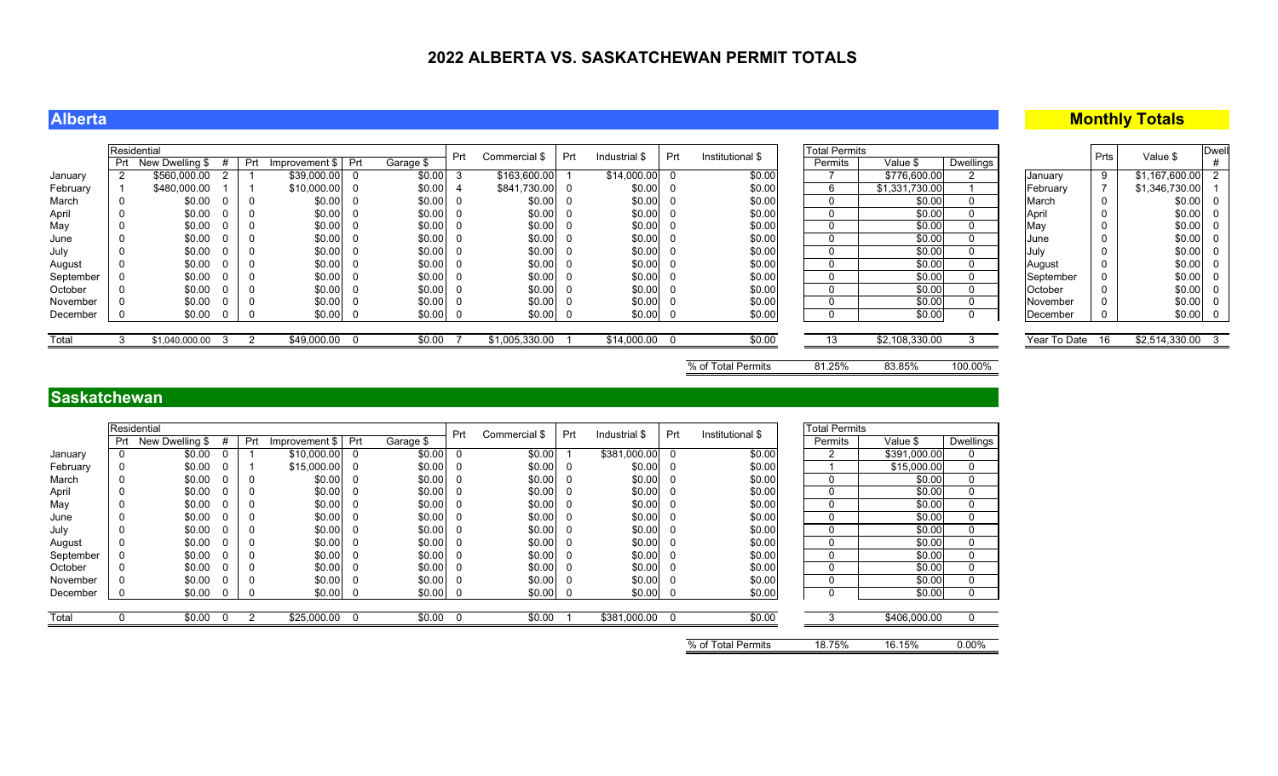### **Alberta**

### **Monthly Totals**

|           | Residential |                 |    |     |                    |           | Prt | Commercial \$  | Prt | Industrial \$  | Prt | Institutional \$ | <b>Total Permits</b> |                |           |                 | Prts | Value \$         | <b>Dwel</b> |
|-----------|-------------|-----------------|----|-----|--------------------|-----------|-----|----------------|-----|----------------|-----|------------------|----------------------|----------------|-----------|-----------------|------|------------------|-------------|
|           | Prt         | New Dwelling \$ | #  | Prt | Improvement \$ Prt | Garage \$ |     |                |     |                |     |                  | Permits              | Value \$       | Dwellings |                 |      |                  |             |
| January   |             | \$560,000.00    |    |     | \$39,000.00        | \$0.00    | -3  | \$163,600.00   |     | $$14,000.00$ ( |     | \$0.00           |                      | \$776,600.00   |           | January         |      | \$1,167,600.00   |             |
| February  |             | \$480,000.00    |    |     | $$10,000.00$ 0     | \$0.00    |     | \$841,730.00   |     | $$0.00$ (      |     | \$0.00           |                      | \$1,331,730.00 |           | February        |      | \$1,346,730.00   |             |
| March     |             | \$0.00          |    |     | \$0.00             | \$0.00    |     | \$0.00         |     | $$0.00$ (      |     | \$0.00           |                      | \$0.00         |           | March           |      | $$0.00$ 0        |             |
| April     |             | \$0.00          |    |     | \$0.00             | \$0.00    |     | \$0.00         |     | $$0.00$ $C$    |     | \$0.00           |                      | \$0.00         |           | April           |      | $$0.00$ 0        |             |
| May       |             | \$0.00          |    |     | \$0.00             | \$0.00    |     | \$0.00         |     | $$0.00$ (      |     | \$0.00           |                      | \$0.00         |           | May             |      | \$0.00 0         |             |
| June      |             | \$0.00          |    |     | \$0.00             | \$0.00    |     | \$0.00         |     | $$0.00$ (      |     | \$0.00           |                      | \$0.00         |           | June            |      | $$0.00$ 0        |             |
| July      |             | \$0.00          |    |     | \$0.00             | \$0.00    |     | \$0.00         |     | $$0.00$ (      |     | \$0.00           |                      | \$0.00         |           | July            |      | $$0.00$ 0        |             |
| August    |             | \$0.00          |    |     | \$0.00             | \$0.00    |     | \$0.00         |     | $$0.00$ $C$    |     | \$0.00           |                      | \$0.00         |           | August          |      | $$0.00$ 0        |             |
| September |             | \$0.00          |    |     | \$0.00             | \$0.00    |     | \$0.00         |     | $$0.00$ (      |     | \$0.00           |                      | \$0.00         |           | September       |      | $$0.00$ 0        |             |
| October   |             | \$0.00          |    |     | \$0.00             | \$0.00    |     | \$0.00         |     | $$0.00$ (      |     | \$0.00           |                      | \$0.00         |           | October         |      | \$0.00 0         |             |
| November  |             | \$0.00          |    |     | \$0.00             | \$0.00    |     | \$0.00         |     | $$0.00$ $C$    |     | \$0.00           |                      | \$0.00         |           | November        |      | \$0.00 0         |             |
| December  |             | \$0.00          |    |     | \$0.00             | \$0.00    |     | $$0.00$ 0      |     | $$0.00$ 0      |     | \$0.00           |                      | \$0.00         |           | December        |      | $$0.00$ 0        |             |
|           |             |                 |    |     |                    |           |     |                |     |                |     |                  |                      |                |           |                 |      |                  |             |
| Total     |             | \$1,040,000.00  | -3 |     | \$49,000.00        | \$0.00    |     | \$1,005,330.00 |     | \$14,000.00 0  |     | \$0.00           | 13                   | \$2,108,330.00 |           | Year To Date 16 |      | \$2,514,330.00 3 |             |
|           |             |                 |    |     |                    |           |     |                |     |                |     |                  |                      |                |           |                 |      |                  |             |

% of Total Permits 81.25% 83.85% 100.00%

### **Saskatchewan**

|           |            | Residential     |          |             |                |                |           | Prt      | Commercial \$ | Prt      | Industrial \$ | Prt | Institutional \$ | <b>Total Permits</b> |              |             |
|-----------|------------|-----------------|----------|-------------|----------------|----------------|-----------|----------|---------------|----------|---------------|-----|------------------|----------------------|--------------|-------------|
|           | <b>Prt</b> | New Dwelling \$ |          | Prt         | Improvement \$ | Prt            | Garage \$ |          |               |          |               |     |                  | Permits              | Value \$     | Dwellings   |
| January   | 0          | \$0.00          |          |             | \$10,000.00    | $\overline{0}$ | \$0.00    |          | \$0.00        |          | \$381,000.00  | 0   | \$0.00           | 2                    | \$391,000.00 | 0           |
| February  | 0          | \$0.00          |          |             | \$15,000.00    | - 0            | \$0.00    | - 0      | \$0.00        | 0        | \$0.00        | 0   | \$0.00           |                      | \$15,000.00  | $\mathbf 0$ |
| March     | 0          | \$0.00          |          | 0           | \$0.00         | 0              | \$0.00    |          | \$0.00        |          | \$0.00        | 0   | \$0.00           | 0                    | \$0.00       | 0           |
| April     | 0          | \$0.00          |          | 0           | \$0.00         | 0              | \$0.00    |          | \$0.00        |          | \$0.00        | 0   | \$0.00           | 0                    | \$0.00       | 0           |
| May       | 0          | \$0.00          |          | $\mathbf 0$ | \$0.00         | 0              | \$0.00    |          | \$0.00        |          | \$0.00        | 0   | \$0.00           | 0                    | \$0.00       | 0           |
| June      | 0          | \$0.00          |          | 0           | \$0.00         | -0             | \$0.00    |          | \$0.00        | 0        | \$0.00        | 0   | \$0.00           | 0                    | \$0.00       | 0           |
| July      | 0          | \$0.00          |          | 0           | \$0.00         | -0             | \$0.00    |          | \$0.00        |          | \$0.00        | 0   | \$0.00           | 0                    | \$0.00       | 0           |
| August    | 0          | \$0.00          |          | 0           | \$0.00         | -0             | \$0.00    |          | \$0.00        |          | \$0.00        | 0   | \$0.00           | 0                    | \$0.00       | 0           |
| September | 0          | \$0.00          |          | 0           | \$0.00         | -0             | \$0.00    |          | \$0.00        |          | \$0.00        | 0   | \$0.00           | 0                    | \$0.00       | 0           |
| October   | 0          | \$0.00          |          | 0           | \$0.00         | - 0            | \$0.00    |          | \$0.00        |          | \$0.00        | 0   | \$0.00           | 0                    | \$0.00       | $\Omega$    |
| November  | 0          | \$0.00          |          | 0           | \$0.00         | $\overline{0}$ | \$0.00    |          | \$0.00        |          | \$0.00        | 0   | \$0.00           | 0                    | \$0.00       | 0           |
| December  |            | \$0.00          |          | 0           | \$0.00         | $\bf{0}$       | \$0.00    | -0       | \$0.00        | <b>U</b> | \$0.00        | - 0 | \$0.00           | 0                    | \$0.00       | 0           |
|           |            |                 |          |             |                |                |           |          |               |          |               |     |                  |                      |              |             |
| Total     |            | \$0.00          | $\Omega$ | 2           | \$25,000.00    | $\Omega$       | \$0.00    | $\Omega$ | \$0.00        |          | \$381,000.00  | O   | \$0.00           |                      | \$406,000.00 |             |
|           |            |                 |          |             |                |                |           |          |               |          |               |     |                  |                      |              |             |

% of Total Permits 18.75% 16.15% 0.00%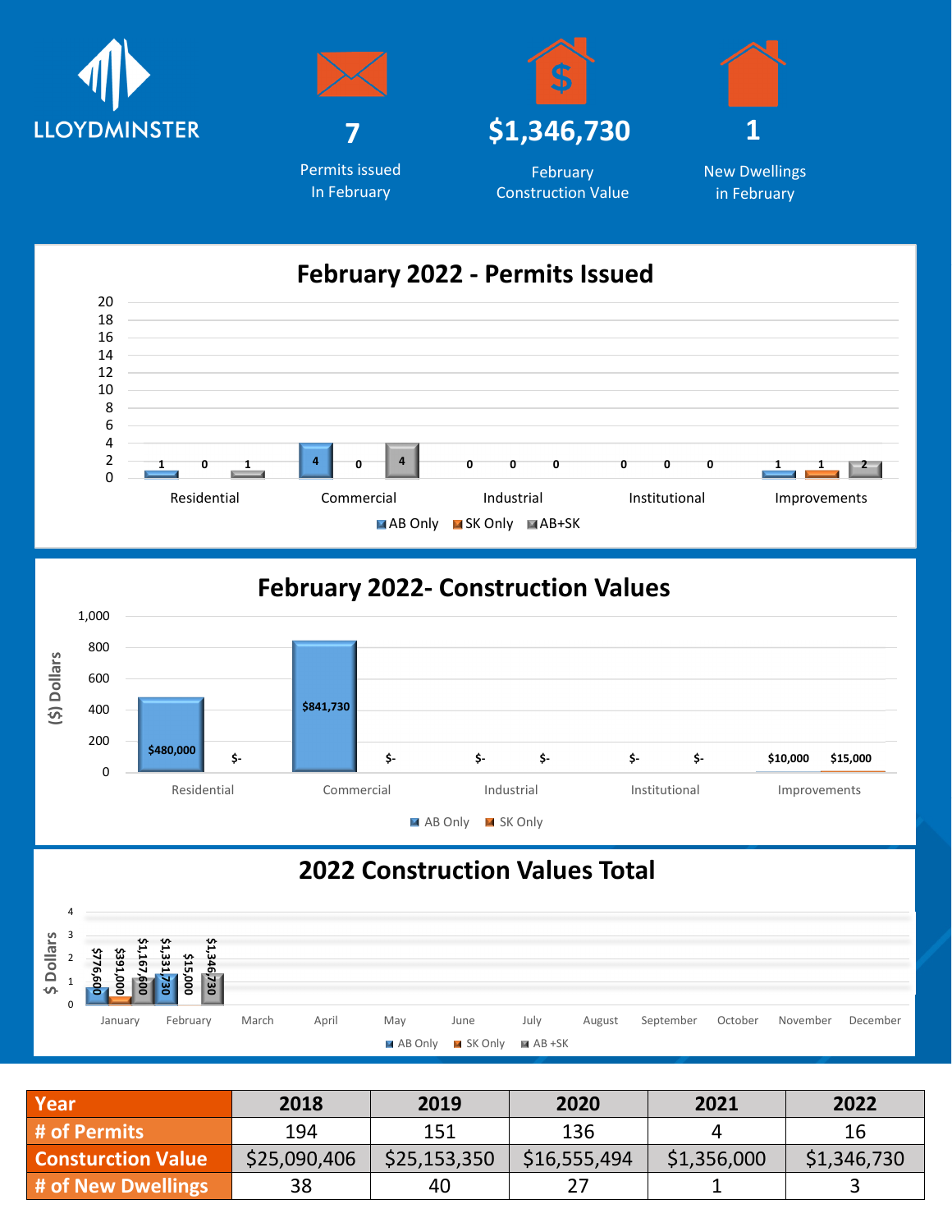









New Dwellings in February

## **February 2022 - Permits Issued**



# **February 2022- Construction Values**



# **2022 Construction Values Total**



| Year                      | 2018         | 2019         | 2020         | 2021        | 2022        |
|---------------------------|--------------|--------------|--------------|-------------|-------------|
| # of Permits              | 194          | 151          | 136          |             | 16          |
| <b>Consturction Value</b> | \$25,090,406 | \$25,153,350 | \$16,555,494 | \$1,356,000 | \$1,346,730 |
| # of New Dwellings        | 38           | 40           |              |             |             |